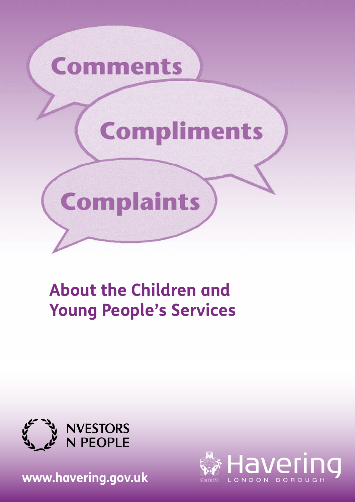

# **About the Children and Young People's Services**



**<www.havering.gov.uk>** 

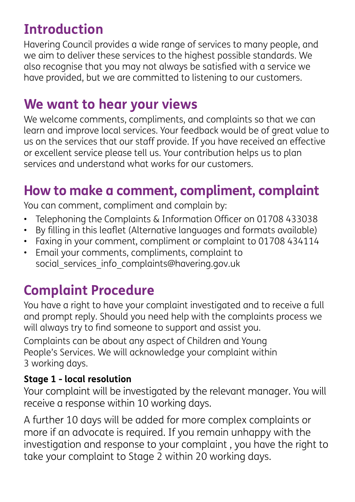## **Introduction**

Havering Council provides a wide range of services to many people, and we aim to deliver these services to the highest possible standards. We also recognise that you may not always be satisfed with a service we have provided, but we are committed to listening to our customers.

### **We want to hear your views**

We welcome comments, compliments, and complaints so that we can learn and improve local services. Your feedback would be of great value to us on the services that our staff provide. If you have received an effective or excellent service please tell us. Your contribution helps us to plan services and understand what works for our customers.

### **How to make a comment, compliment, complaint**

You can comment, compliment and complain by:

- Telephoning the Complaints & Information Officer on 01708 433038
- By flling in this leafet (Alternative languages and formats available)
- Faxing in your comment, compliment or complaint to 01708 434114
- Email your comments, compliments, complaint to social services info complaints@havering.gov.uk

## **Complaint Procedure**

You have a right to have your complaint investigated and to receive a full and prompt reply. Should you need help with the complaints process we will always try to find someone to support and assist you.

Complaints can be about any aspect of Children and Young People's Services. We will acknowledge your complaint within 3 working days.

#### **Stage 1 - local resolution**

Your complaint will be investigated by the relevant manager. You will receive a response within 10 working days.

A further 10 days will be added for more complex complaints or more if an advocate is required. If you remain unhappy with the investigation and response to your complaint , you have the right to take your complaint to Stage 2 within 20 working days.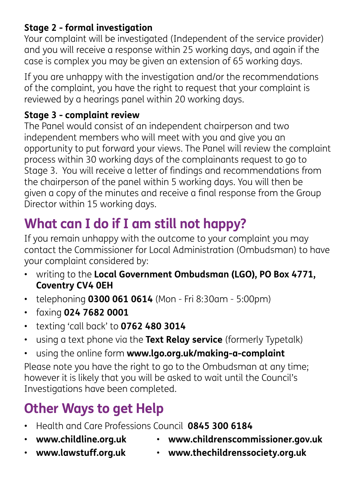#### **Stage 2 - formal investigation**

Your complaint will be investigated (Independent of the service provider) and you will receive a response within 25 working days, and again if the case is complex you may be given an extension of 65 working days.

If you are unhappy with the investigation and/or the recommendations of the complaint, you have the right to request that your complaint is reviewed by a hearings panel within 20 working days.

#### **Stage 3 - complaint review**

The Panel would consist of an independent chairperson and two independent members who will meet with you and give you an opportunity to put forward your views. The Panel will review the complaint process within 30 working days of the complainants request to go to Stage 3. You will receive a letter of fndings and recommendations from the chairperson of the panel within 5 working days. You will then be given a copy of the minutes and receive a fnal response from the Group Director within 15 working days.

## **What can I do if I am still not happy?**

If you remain unhappy with the outcome to your complaint you may contact the Commissioner for Local Administration (Ombudsman) to have your complaint considered by:

- writing to the **Local Government Ombudsman (LGO), PO Box 4771, Coventry CV4 0EH**
- telephoning **0300 061 0614** (Mon Fri 8:30am 5:00pm)
- faxing **024 7682 0001**
- texting 'call back' to **0762 480 3014**
- using a text phone via the **Text Relay service** (formerly Typetalk)
- using the online form **<www.lgo.org.uk/making-a-complaint>**

Please note you have the right to go to the Ombudsman at any time; however it is likely that you will be asked to wait until the Council's Investigations have been completed.

## **Other Ways to get Help**

- Health and Care Professions Council **0845 300 6184**
- 
- **<www.childline.org.uk> <www.childrenscommissioner.gov.uk>**
- 
- **<www.lawstuff.org.uk> <www.thechildrenssociety.org.uk>**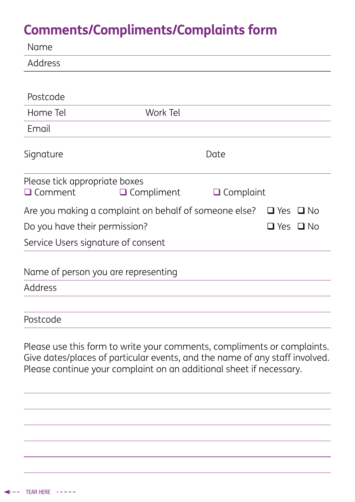### **Comments/Compliments/Complaints form**

| Name                                                  |                                                                         |                  |                      |  |
|-------------------------------------------------------|-------------------------------------------------------------------------|------------------|----------------------|--|
| Address                                               |                                                                         |                  |                      |  |
|                                                       |                                                                         |                  |                      |  |
| Postcode                                              |                                                                         |                  |                      |  |
| Home Tel                                              | Work Tel                                                                |                  |                      |  |
| Email                                                 |                                                                         |                  |                      |  |
| Signature                                             | Date                                                                    |                  |                      |  |
| Please tick appropriate boxes<br>$\Box$ Comment       | $\Box$ Compliment                                                       | $\Box$ Complaint |                      |  |
|                                                       | Are you making a complaint on behalf of someone else?                   |                  | $\Box$ Yes $\Box$ No |  |
| Do you have their permission?<br>$\Box$ Yes $\Box$ No |                                                                         |                  |                      |  |
|                                                       | Service Users signature of consent                                      |                  |                      |  |
|                                                       | Name of person you are representing                                     |                  |                      |  |
| Address                                               |                                                                         |                  |                      |  |
| Postcode                                              |                                                                         |                  |                      |  |
|                                                       | Please use this form to write your comments, compliments or complaints. |                  |                      |  |

Give dates/places of particular events, and the name of any staff involved. Please continue your complaint on an additional sheet if necessary.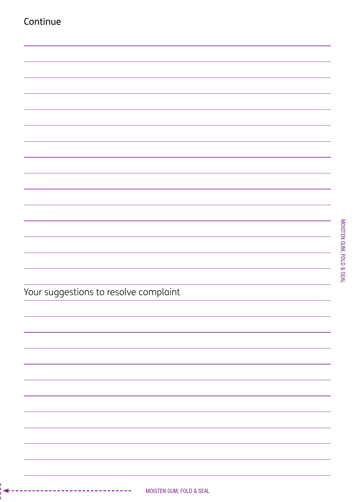| Continue                              |  |
|---------------------------------------|--|
|                                       |  |
|                                       |  |
|                                       |  |
|                                       |  |
|                                       |  |
|                                       |  |
|                                       |  |
|                                       |  |
|                                       |  |
|                                       |  |
|                                       |  |
|                                       |  |
|                                       |  |
|                                       |  |
|                                       |  |
|                                       |  |
|                                       |  |
|                                       |  |
|                                       |  |
|                                       |  |
|                                       |  |
| Your suggestions to resolve complaint |  |
|                                       |  |
|                                       |  |
|                                       |  |
|                                       |  |
|                                       |  |
|                                       |  |
|                                       |  |
|                                       |  |
|                                       |  |
|                                       |  |
|                                       |  |
|                                       |  |
|                                       |  |
|                                       |  |
|                                       |  |
|                                       |  |

MOISTEN GUM, FOLD & SEAL MOISTEN GUM, FOLD & SEAL

◢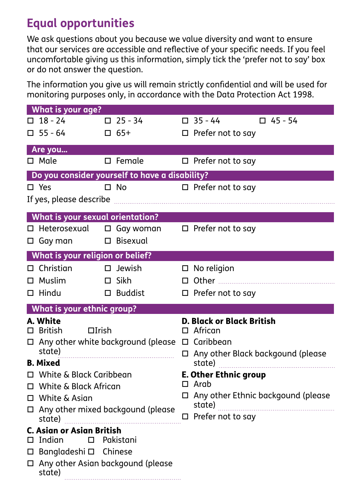### **Equal opportunities**

We ask questions about you because we value diversity and want to ensure that our services are accessible and refective of your specifc needs. If you feel uncomfortable giving us this information, simply tick the 'prefer not to say' box or do not answer the question.

The information you give us will remain strictly confdential and will be used for monitoring purposes only, in accordance with the Data Protection Act 1998.

| <b>What is your age?</b>                                         |                  |                                             |  |
|------------------------------------------------------------------|------------------|---------------------------------------------|--|
| $\Box$ 18 - 24                                                   | $\Box$ 25 - 34   | $\Box$ 35 - 44<br>$\square$ 45 - 54         |  |
| $\square$ 55 - 64                                                | $\Box$ 65+       | $\Box$ Prefer not to say                    |  |
| Are you                                                          |                  |                                             |  |
| $\Box$ Male                                                      | $\square$ Female | $\Box$ Prefer not to say                    |  |
| Do you consider yourself to have a disability?                   |                  |                                             |  |
| $\square$ Yes                                                    | $\square$ No     | □ Prefer not to say                         |  |
|                                                                  |                  |                                             |  |
|                                                                  |                  |                                             |  |
| <b>What is your sexual orientation?</b>                          |                  |                                             |  |
| □ Heterosexual                                                   | $\Box$ Gay woman | $\Box$ Prefer not to say                    |  |
| $\Box$ Gay man                                                   | □ Bisexual       |                                             |  |
| What is your religion or belief?                                 |                  |                                             |  |
| $\Box$ Christian                                                 | $\square$ Jewish | $\Box$ No religion                          |  |
| $\Box$ Muslim                                                    | $\Box$ Sikh      |                                             |  |
| $\Box$ Hindu                                                     | $\Box$ Buddist   | $\Box$ Prefer not to say                    |  |
| <b>What is your ethnic group?</b>                                |                  |                                             |  |
| A. White                                                         |                  | <b>D. Black or Black British</b>            |  |
| $\Box$ British<br>$\Box$ Irish                                   |                  | $\Box$ African                              |  |
| $\Box$ Any other white background (please $\Box$ Caribbean       |                  |                                             |  |
| state)                                                           |                  | $\Box$ Any other Black backgound (please    |  |
| <b>B.</b> Mixed                                                  |                  |                                             |  |
| $\Box$ White & Black Caribbean                                   |                  | <b>E. Other Ethnic group</b><br>$\Box$ Arab |  |
| □ White & Black African                                          |                  | □ Any other Ethnic backgound (please        |  |
| □ White & Asian                                                  |                  | state)                                      |  |
| $\Box$ Any other mixed backgound (please<br>state) $\frac{1}{2}$ |                  | □ Prefer not to say                         |  |
| <b>C. Asian or Asian British</b>                                 |                  |                                             |  |
| $\Box$ Indian                                                    | $\Box$ Pakistani |                                             |  |
| □ Bangladeshi □ Chinese                                          |                  |                                             |  |
| □ Any other Asian backgound (please<br>state)                    |                  |                                             |  |
|                                                                  |                  |                                             |  |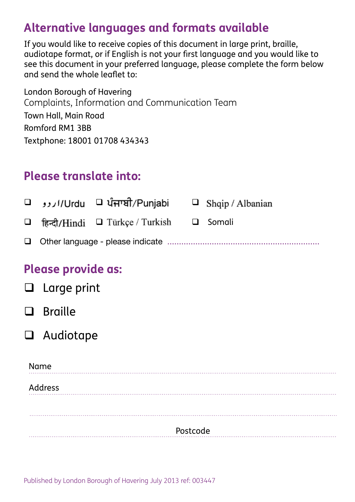### **Alternative languages and formats available**

If you would like to receive copies of this document in large print, braille, audiotape format, or if English is not your frst language and you would like to see this document in your preferred language, please complete the form below and send the whole leafet to:

London Borough of Havering Complaints, Information and Communication Team Town Hall, Main Road Romford RM1 3BB Textphone: 18001 01708 434343

### **Please translate into:**

|  | Urdu □ ਪੰਜਾਬੀ/Punjabi □ Shqip / Albanian □ |  |
|--|--------------------------------------------|--|
|  |                                            |  |
|  |                                            |  |

#### **Please provide as:**

|          | $\Box$ Large print |  |  |
|----------|--------------------|--|--|
|          | $\Box$ Braille     |  |  |
|          | $\Box$ Audiotape   |  |  |
|          | Name               |  |  |
| Address  |                    |  |  |
|          |                    |  |  |
| Postcode |                    |  |  |

Published by London Borough of Havering July 2013 ref: 003447